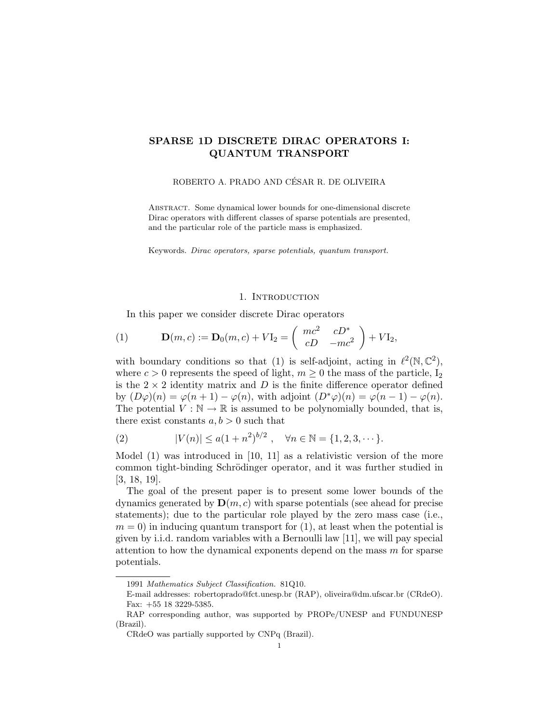# SPARSE 1D DISCRETE DIRAC OPERATORS I: QUANTUM TRANSPORT

## ROBERTO A. PRADO AND CÉSAR R. DE OLIVEIRA

Abstract. Some dynamical lower bounds for one-dimensional discrete Dirac operators with different classes of sparse potentials are presented, and the particular role of the particle mass is emphasized.

Keywords. Dirac operators, sparse potentials, quantum transport.

# 1. INTRODUCTION

In this paper we consider discrete Dirac operators

(1) 
$$
\mathbf{D}(m, c) := \mathbf{D}_0(m, c) + V \mathbf{I}_2 = \begin{pmatrix} mc^2 & cD^* \\ cD & -mc^2 \end{pmatrix} + V \mathbf{I}_2,
$$

with boundary conditions so that (1) is self-adjoint, acting in  $\ell^2(\mathbb{N}, \mathbb{C}^2)$ , where  $c > 0$  represents the speed of light,  $m \geq 0$  the mass of the particle,  $I_2$ is the  $2 \times 2$  identity matrix and D is the finite difference operator defined by  $(D\varphi)(n) = \varphi(n+1) - \varphi(n)$ , with adjoint  $(D^*\varphi)(n) = \varphi(n-1) - \varphi(n)$ . The potential  $V : \mathbb{N} \to \mathbb{R}$  is assumed to be polynomially bounded, that is, there exist constants  $a, b > 0$  such that

(2) 
$$
|V(n)| \le a(1+n^2)^{b/2}, \quad \forall n \in \mathbb{N} = \{1, 2, 3, \cdots\}.
$$

Model (1) was introduced in [10, 11] as a relativistic version of the more common tight-binding Schrödinger operator, and it was further studied in [3, 18, 19].

The goal of the present paper is to present some lower bounds of the dynamics generated by  $\mathbf{D}(m, c)$  with sparse potentials (see ahead for precise statements); due to the particular role played by the zero mass case (i.e.,  $m = 0$ ) in inducing quantum transport for (1), at least when the potential is given by i.i.d. random variables with a Bernoulli law [11], we will pay special attention to how the dynamical exponents depend on the mass  $m$  for sparse potentials.

<sup>1991</sup> Mathematics Subject Classification. 81Q10.

E-mail addresses: robertoprado@fct.unesp.br (RAP), oliveira@dm.ufscar.br (CRdeO). Fax: +55 18 3229-5385.

RAP corresponding author, was supported by PROPe/UNESP and FUNDUNESP (Brazil).

CRdeO was partially supported by CNPq (Brazil).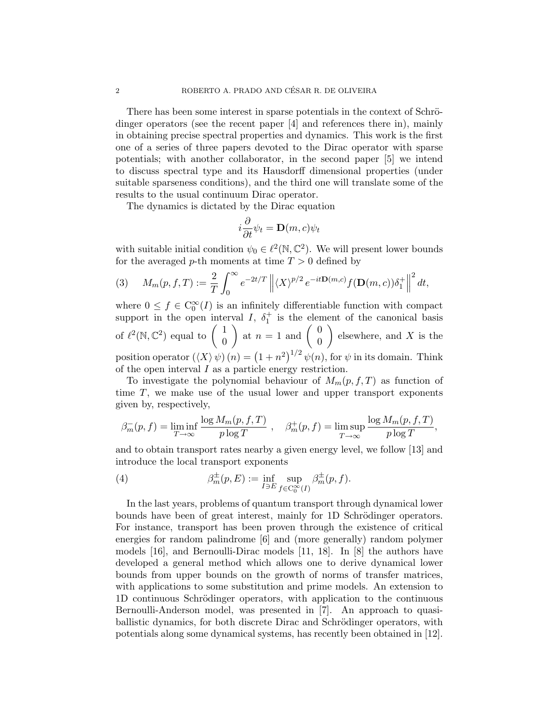There has been some interest in sparse potentials in the context of Schrödinger operators (see the recent paper [4] and references there in), mainly in obtaining precise spectral properties and dynamics. This work is the first one of a series of three papers devoted to the Dirac operator with sparse potentials; with another collaborator, in the second paper [5] we intend to discuss spectral type and its Hausdorff dimensional properties (under suitable sparseness conditions), and the third one will translate some of the results to the usual continuum Dirac operator.

The dynamics is dictated by the Dirac equation

$$
i\frac{\partial}{\partial t}\psi_t = \mathbf{D}(m,c)\psi_t
$$

with suitable initial condition  $\psi_0 \in \ell^2(\mathbb{N}, \mathbb{C}^2)$ . We will present lower bounds for the averaged p-th moments at time  $T > 0$  defined by

(3) 
$$
M_m(p, f, T) := \frac{2}{T} \int_0^\infty e^{-2t/T} \left\| \langle X \rangle^{p/2} e^{-it \mathbf{D}(m, c)} f(\mathbf{D}(m, c)) \delta_1^+ \right\|^2 dt,
$$

where  $0 \le f \in C_0^{\infty}(I)$  is an infinitely differentiable function with compact support in the open interval I,  $\delta_1^+$  is the element of the canonical basis of  $\ell^2(\mathbb{N}, \mathbb{C}^2)$  equal to  $\begin{pmatrix} 1 \\ 0 \end{pmatrix}$  $\overline{0}$ ) at  $n=1$  and  $\begin{pmatrix} 0 \\ 0 \end{pmatrix}$  $\overline{0}$ elsewhere, and  $X$  is the position operator  $(\langle X \rangle \psi)(n) = (1 + n^2)^{1/2} \psi(n)$ , for  $\psi$  in its domain. Think of the open interval I as a particle energy restriction.

To investigate the polynomial behaviour of  $M_m(p, f, T)$  as function of time  $T$ , we make use of the usual lower and upper transport exponents given by, respectively,

$$
\beta_m^-(p, f) = \liminf_{T \to \infty} \frac{\log M_m(p, f, T)}{p \log T} , \quad \beta_m^+(p, f) = \limsup_{T \to \infty} \frac{\log M_m(p, f, T)}{p \log T},
$$

and to obtain transport rates nearby a given energy level, we follow [13] and introduce the local transport exponents

(4) 
$$
\beta_m^{\pm}(p,E) := \inf_{I \ni E} \sup_{f \in C_0^{\infty}(I)} \beta_m^{\pm}(p,f).
$$

In the last years, problems of quantum transport through dynamical lower bounds have been of great interest, mainly for 1D Schrödinger operators. For instance, transport has been proven through the existence of critical energies for random palindrome [6] and (more generally) random polymer models [16], and Bernoulli-Dirac models [11, 18]. In [8] the authors have developed a general method which allows one to derive dynamical lower bounds from upper bounds on the growth of norms of transfer matrices, with applications to some substitution and prime models. An extension to 1D continuous Schrödinger operators, with application to the continuous Bernoulli-Anderson model, was presented in [7]. An approach to quasiballistic dynamics, for both discrete Dirac and Schrödinger operators, with potentials along some dynamical systems, has recently been obtained in [12].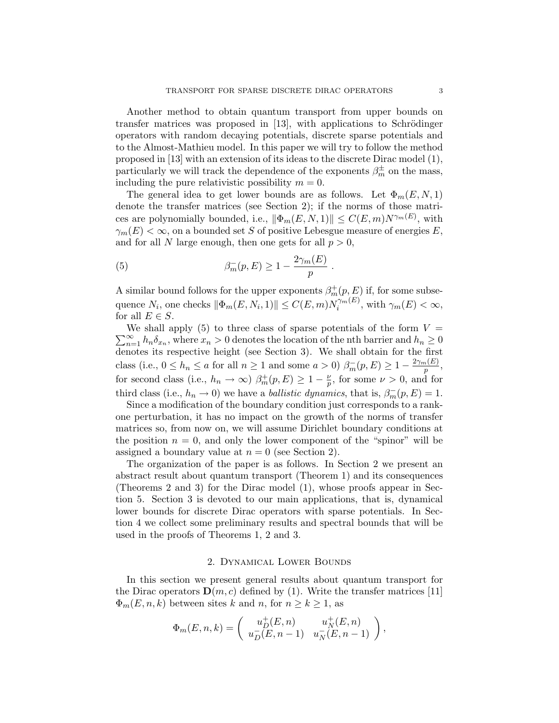Another method to obtain quantum transport from upper bounds on transfer matrices was proposed in  $[13]$ , with applications to Schrödinger operators with random decaying potentials, discrete sparse potentials and to the Almost-Mathieu model. In this paper we will try to follow the method proposed in [13] with an extension of its ideas to the discrete Dirac model (1), particularly we will track the dependence of the exponents  $\beta_m^{\pm}$  on the mass, including the pure relativistic possibility  $m = 0$ .

The general idea to get lower bounds are as follows. Let  $\Phi_m(E, N, 1)$ denote the transfer matrices (see Section 2); if the norms of those matrices are polynomially bounded, i.e.,  $\|\Phi_m(E, N, 1)\| \leq C(E, m)N^{\gamma_m(E)}$ , with  $\gamma_m(E) < \infty$ , on a bounded set S of positive Lebesgue measure of energies E, and for all N large enough, then one gets for all  $p > 0$ ,

(5) 
$$
\beta_m^-(p, E) \ge 1 - \frac{2\gamma_m(E)}{p}
$$

A similar bound follows for the upper exponents  $\beta_m^+(p, E)$  if, for some subsequence  $N_i$ , one checks  $\|\Phi_m(E, N_i, 1)\| \le C(E, m) N_i^{\gamma_m(E)}$  $\tilde{C}^{m(E)}$ , with  $\gamma_m(E) < \infty$ , for all  $E \in S$ .

.

 $\sum_{n=1}^{\infty} h_n \delta_{x_n}$ , where  $x_n > 0$  denotes the location of the nth barrier and  $h_n \geq 0$ We shall apply  $(5)$  to three class of sparse potentials of the form  $V =$ denotes its respective height (see Section 3). We shall obtain for the first class (i.e.,  $0 \le h_n \le a$  for all  $n \ge 1$  and some  $a > 0$ )  $\beta_m^-(p, E) \ge 1 - \frac{2\gamma_m(E)}{p}$  $\frac{n(E)}{p}$ for second class (i.e.,  $h_n \to \infty$ )  $\beta_m^+(p, E) \geq 1 - \frac{\nu}{p}$  $\frac{\nu}{p}$ , for some  $\nu > 0$ , and for third class (i.e.,  $h_n \to 0$ ) we have a *ballistic dynamics*, that is,  $\beta_m(p, E) = 1$ .

Since a modification of the boundary condition just corresponds to a rankone perturbation, it has no impact on the growth of the norms of transfer matrices so, from now on, we will assume Dirichlet boundary conditions at the position  $n = 0$ , and only the lower component of the "spinor" will be assigned a boundary value at  $n = 0$  (see Section 2).

The organization of the paper is as follows. In Section 2 we present an abstract result about quantum transport (Theorem 1) and its consequences (Theorems 2 and 3) for the Dirac model (1), whose proofs appear in Section 5. Section 3 is devoted to our main applications, that is, dynamical lower bounds for discrete Dirac operators with sparse potentials. In Section 4 we collect some preliminary results and spectral bounds that will be used in the proofs of Theorems 1, 2 and 3.

#### 2. Dynamical Lower Bounds

In this section we present general results about quantum transport for the Dirac operators  $\mathbf{D}(m, c)$  defined by (1). Write the transfer matrices [11]  $\Phi_m(E, n, k)$  between sites k and n, for  $n \geq k \geq 1$ , as

$$
\Phi_m(E,n,k) = \begin{pmatrix} u_D^+(E,n) & u_N^+(E,n) \\ u_D^-(E,n-1) & u_N^-(E,n-1) \end{pmatrix},
$$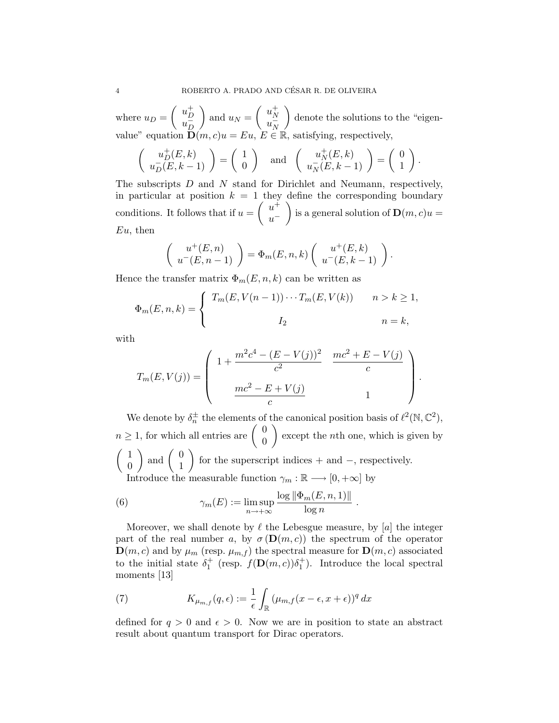where  $u_D = \begin{pmatrix} u_D^+ \\ u_D^- \end{pmatrix}$  $\frac{u_D}{u_D}$ D ) and  $u_N = \begin{pmatrix} u_N^+ \\ u_N^- \end{pmatrix}$  $\frac{u_N}{u_N}$ N denote the solutions to the "eigenvalue" equation  $\mathbf{D}(m, c)u = Eu, E \in \mathbb{R}$ , satisfying, respectively,

$$
\left(\begin{array}{c} u_D^+(E,k) \\ u_D^-(E,k-1) \end{array}\right) = \left(\begin{array}{c} 1 \\ 0 \end{array}\right) \quad \text{and} \quad \left(\begin{array}{c} u_N^+(E,k) \\ u_N^-(E,k-1) \end{array}\right) = \left(\begin{array}{c} 0 \\ 1 \end{array}\right).
$$

The subscripts D and N stand for Dirichlet and Neumann, respectively, in particular at position  $k = 1$  they define the corresponding boundary conditions. It follows that if  $u = \begin{pmatrix} u^+ \\ u^- \end{pmatrix}$  $u^$ is a general solution of  $\mathbf{D}(m, c)u =$  $Eu$ , then

$$
\left(\begin{array}{c} u^+(E,n) \\ u^-(E,n-1) \end{array}\right) = \Phi_m(E,n,k) \left(\begin{array}{c} u^+(E,k) \\ u^-(E,k-1) \end{array}\right).
$$

Hence the transfer matrix  $\Phi_m(E, n, k)$  can be written as

$$
\Phi_m(E, n, k) = \begin{cases} T_m(E, V(n-1)) \cdots T_m(E, V(k)) & n > k \ge 1, \\ I_2 & n = k, \end{cases}
$$

with

$$
T_m(E, V(j)) = \begin{pmatrix} 1 + \frac{m^2c^4 - (E - V(j))^2}{c^2} & \frac{mc^2 + E - V(j)}{c} \\ \frac{mc^2 - E + V(j)}{c} & 1 \end{pmatrix}
$$

.

We denote by  $\delta_n^{\pm}$  the elements of the canonical position basis of  $\ell^2(\mathbb{N}, \mathbb{C}^2)$ ,  $n \geq 1$ , for which all entries are  $\begin{pmatrix} 0 \\ 0 \end{pmatrix}$ 0  $\bigg)$  except the *n*th one, which is given by  $\begin{pmatrix} 1 \end{pmatrix}$ 0  $\Big)$  and  $\Big( \begin{array}{c} 0 \\ 1 \end{array} \Big)$ 1 for the superscript indices  $+$  and  $-$ , respectively. Introduce the measurable function  $\gamma_m : \mathbb{R} \longrightarrow [0, +\infty]$  by

(6) 
$$
\gamma_m(E) := \limsup_{n \to +\infty} \frac{\log \|\Phi_m(E, n, 1)\|}{\log n}.
$$

Moreover, we shall denote by  $\ell$  the Lebesgue measure, by [a] the integer part of the real number a, by  $\sigma(\mathbf{D}(m,c))$  the spectrum of the operator  $\mathbf{D}(m, c)$  and by  $\mu_m$  (resp.  $\mu_{m,f}$ ) the spectral measure for  $\mathbf{D}(m, c)$  associated to the initial state  $\delta_1^+$  (resp.  $f(\mathbf{D}(m,c))\delta_1^+$ ). Introduce the local spectral moments [13]

(7) 
$$
K_{\mu_{m,f}}(q,\epsilon) := \frac{1}{\epsilon} \int_{\mathbb{R}} (\mu_{m,f}(x-\epsilon,x+\epsilon))^q dx
$$

defined for  $q > 0$  and  $\epsilon > 0$ . Now we are in position to state an abstract result about quantum transport for Dirac operators.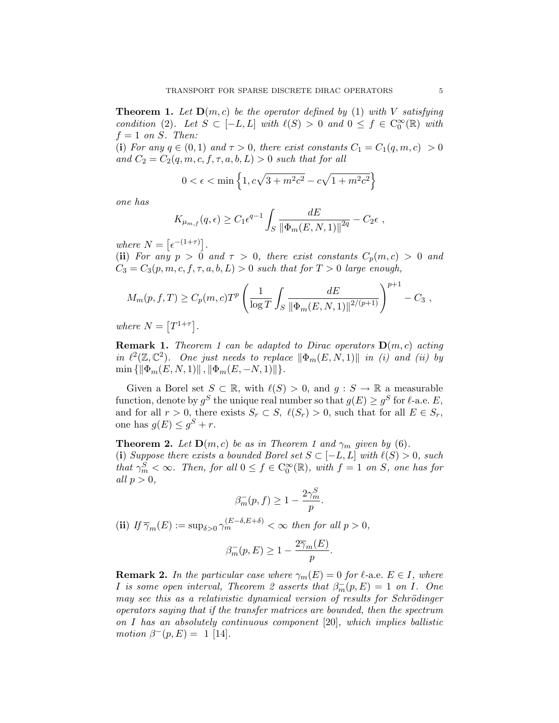**Theorem 1.** Let  $D(m, c)$  be the operator defined by (1) with V satisfying condition (2). Let  $S \subset [-L, L]$  with  $\ell(S) > 0$  and  $0 \leq f \in C_0^{\infty}(\mathbb{R})$  with  $f = 1$  on S. Then:

(i) For any  $q \in (0,1)$  and  $\tau > 0$ , there exist constants  $C_1 = C_1(q,m,c) > 0$ and  $C_2 = C_2(q, m, c, f, \tau, a, b, L) > 0$  such that for all

$$
0 < \epsilon < \min\left\{1, c\sqrt{3 + m^2c^2} - c\sqrt{1 + m^2c^2}\right\}
$$

one has

$$
K_{\mu_{m,f}}(q,\epsilon) \geq C_1 \epsilon^{q-1} \int_S \frac{dE}{\|\Phi_m(E,N,1)\|^{2q}} - C_2 \epsilon ,
$$

where  $N = \left[ \epsilon^{-(1+\tau)} \right]$ .

(ii) For any  $p > 0$  and  $\tau > 0$ , there exist constants  $C_p(m, c) > 0$  and  $C_3 = C_3(p, m, c, f, \tau, a, b, L) > 0$  such that for  $T > 0$  large enough,

$$
M_m(p, f, T) \ge C_p(m, c) T^p \left( \frac{1}{\log T} \int_S \frac{dE}{\|\Phi_m(E, N, 1)\|^{2/(p+1)}} \right)^{p+1} - C_3,
$$

where  $N = \lfloor T^{1+\tau} \rfloor$ .

**Remark 1.** Theorem 1 can be adapted to Dirac operators  $D(m, c)$  acting in  $\ell^2(\mathbb{Z}, \mathbb{C}^2)$ . One just needs to replace  $\|\Phi_m(E, N, 1)\|$  in (i) and (ii) by  $\min \{ \|\Phi_m(E, N, 1)\|, \|\Phi_m(E, -N, 1)\|\}.$ 

Given a Borel set  $S \subset \mathbb{R}$ , with  $\ell(S) > 0$ , and  $g : S \to \mathbb{R}$  a measurable function, denote by  $g^S$  the unique real number so that  $g(E) \ge g^S$  for  $\ell$ -a.e. E, and for all  $r > 0$ , there exists  $S_r \subset S$ ,  $\ell(S_r) > 0$ , such that for all  $E \in S_r$ , one has  $g(E) \leq g^S + r$ .

**Theorem 2.** Let  $D(m, c)$  be as in Theorem 1 and  $\gamma_m$  given by (6). (i) Suppose there exists a bounded Borel set  $S \subset [-L, L]$  with  $\ell(S) > 0$ , such that  $\gamma_m^S < \infty$ . Then, for all  $0 \le f \in C_0^{\infty}(\mathbb{R})$ , with  $f = 1$  on S, one has for all  $p > 0$ ,

$$
\beta_m^-(p, f) \geq 1 - \frac{2\gamma_m^S}{p}.
$$

(ii) If  $\overline{\gamma}_m(E) := \sup_{\delta>0} \gamma_m^{(E-\delta,E+\delta)} < \infty$  then for all  $p > 0$ ,

$$
\beta_m^-(p, E) \ge 1 - \frac{2\overline{\gamma}_m(E)}{p}.
$$

**Remark 2.** In the particular case where  $\gamma_m(E) = 0$  for  $\ell$ -a.e.  $E \in I$ , where *I* is some open interval, Theorem 2 asserts that  $\beta_m^-(p, E) = 1$  on *I*. One may see this as a relativistic dynamical version of results for Schrödinger operators saying that if the transfer matrices are bounded, then the spectrum on I has an absolutely continuous component [20], which implies ballistic motion  $\beta^-(p, E) = 1$  [14].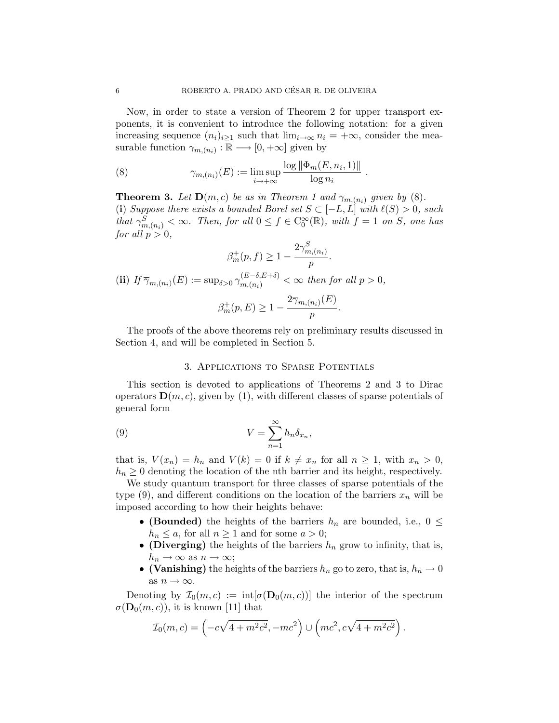Now, in order to state a version of Theorem 2 for upper transport exponents, it is convenient to introduce the following notation: for a given increasing sequence  $(n_i)_{i>1}$  such that  $\lim_{i\to\infty} n_i = +\infty$ , consider the measurable function  $\gamma_{m,(n_i)} : \mathbb{R} \longrightarrow [0, +\infty]$  given by

(8) 
$$
\gamma_{m,(n_i)}(E) := \limsup_{i \to +\infty} \frac{\log \|\Phi_m(E, n_i, 1)\|}{\log n_i}.
$$

**Theorem 3.** Let  $\mathbf{D}(m, c)$  be as in Theorem 1 and  $\gamma_{m,(n_i)}$  given by (8). (i) Suppose there exists a bounded Borel set  $S \subset [-L, L]$  with  $\ell(S) > 0$ , such that  $\gamma_{m,(n_i)}^S < \infty$ . Then, for all  $0 \le f \in C_0^{\infty}(\mathbb{R})$ , with  $f = 1$  on S, one has for all  $p > 0$ ,

$$
\beta_m^+(p, f) \ge 1 - \frac{2\gamma_{m,(n_i)}^S}{p}.
$$
\n(ii) If  $\overline{\gamma}_{m,(n_i)}(E) := \sup_{\delta > 0} \gamma_{m,(n_i)}^{(E-\delta, E+\delta)} < \infty$  then for all  $p > 0$ ,\n
$$
\beta_m^+(p, E) \ge 1 - \frac{2\overline{\gamma}_{m,(n_i)}(E)}{p}.
$$

The proofs of the above theorems rely on preliminary results discussed in Section 4, and will be completed in Section 5.

### 3. Applications to Sparse Potentials

This section is devoted to applications of Theorems 2 and 3 to Dirac operators  $\mathbf{D}(m, c)$ , given by (1), with different classes of sparse potentials of general form

(9) 
$$
V = \sum_{n=1}^{\infty} h_n \delta_{x_n}
$$

that is,  $V(x_n) = h_n$  and  $V(k) = 0$  if  $k \neq x_n$  for all  $n \geq 1$ , with  $x_n > 0$ ,  $h_n \geq 0$  denoting the location of the nth barrier and its height, respectively.

,

We study quantum transport for three classes of sparse potentials of the type (9), and different conditions on the location of the barriers  $x_n$  will be imposed according to how their heights behave:

- (Bounded) the heights of the barriers  $h_n$  are bounded, i.e.,  $0 \leq$  $h_n \leq a$ , for all  $n \geq 1$  and for some  $a > 0$ ;
- (Diverging) the heights of the barriers  $h_n$  grow to infinity, that is,  $h_n \to \infty$  as  $n \to \infty$ ;
- (Vanishing) the heights of the barriers  $h_n$  go to zero, that is,  $h_n \to 0$ as  $n \to \infty$ .

Denoting by  $\mathcal{I}_0(m,c) := \text{int}[\sigma(\mathbf{D}_0(m,c))]$  the interior of the spectrum  $\sigma(\mathbf{D}_0(m,c))$ , it is known [11] that

$$
\mathcal{I}_0(m,c) = \left(-c\sqrt{4 + m^2c^2}, -mc^2\right) \cup \left(mc^2, c\sqrt{4 + m^2c^2}\right).
$$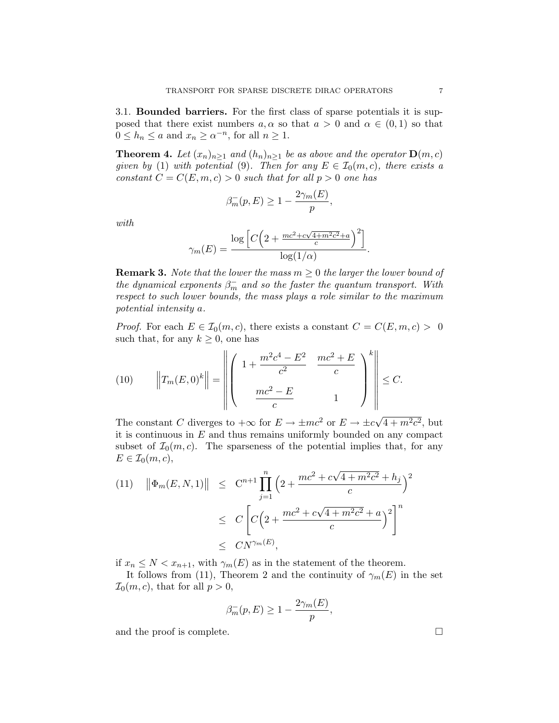3.1. Bounded barriers. For the first class of sparse potentials it is supposed that there exist numbers  $a, \alpha$  so that  $a > 0$  and  $\alpha \in (0, 1)$  so that  $0 \le h_n \le a$  and  $x_n \ge \alpha^{-n}$ , for all  $n \ge 1$ .

**Theorem 4.** Let  $(x_n)_{n\geq 1}$  and  $(h_n)_{n\geq 1}$  be as above and the operator  $\mathbf{D}(m, c)$ given by (1) with potential (9). Then for any  $E \in \mathcal{I}_0(m,c)$ , there exists a constant  $C = C(E, m, c) > 0$  such that for all  $p > 0$  one has

$$
\beta_m^-(p, E) \ge 1 - \frac{2\gamma_m(E)}{p},
$$

with

$$
\gamma_m(E) = \frac{\log\left[C\left(2 + \frac{mc^2 + c\sqrt{4+m^2c^2} + a}{c}\right)^2\right]}{\log(1/\alpha)}.
$$

**Remark 3.** Note that the lower the mass  $m \geq 0$  the larger the lower bound of the dynamical exponents  $\beta_m^-$  and so the faster the quantum transport. With respect to such lower bounds, the mass plays a role similar to the maximum potential intensity a.

*Proof.* For each  $E \in \mathcal{I}_0(m, c)$ , there exists a constant  $C = C(E, m, c) > 0$ such that, for any  $k \geq 0$ , one has

(10) 
$$
\left\|T_m(E,0)^k\right\| = \left\|\left(\begin{array}{cc} 1 + \frac{m^2c^4 - E^2}{c^2} & \frac{mc^2 + E}{c} \\ \frac{mc^2 - E}{c} & 1 \end{array}\right)^k\right\| \leq C.
$$

The constant C diverges to  $+\infty$  for  $E \to \pm mc^2$  or  $E \to \pm c\sqrt{}$  $\sqrt{4+m^2c^2}$ , but it is continuous in  $E$  and thus remains uniformly bounded on any compact subset of  $\mathcal{I}_0(m,c)$ . The sparseness of the potential implies that, for any  $E \in \mathcal{I}_0(m,c),$ 

(11) 
$$
\|\Phi_m(E, N, 1)\| \leq C^{n+1} \prod_{j=1}^n \left(2 + \frac{mc^2 + c\sqrt{4 + m^2c^2} + h_j}{c}\right)^2
$$
  
 $\leq C \left[C\left(2 + \frac{mc^2 + c\sqrt{4 + m^2c^2} + a}{c}\right)^2\right]^n$   
 $\leq C N^{\gamma_m(E)},$ 

if  $x_n \leq N < x_{n+1}$ , with  $\gamma_m(E)$  as in the statement of the theorem.

It follows from (11), Theorem 2 and the continuity of  $\gamma_m(E)$  in the set  $\mathcal{I}_0(m, c)$ , that for all  $p > 0$ ,

$$
\beta_m^-(p, E) \ge 1 - \frac{2\gamma_m(E)}{p},
$$

and the proof is complete.  $\Box$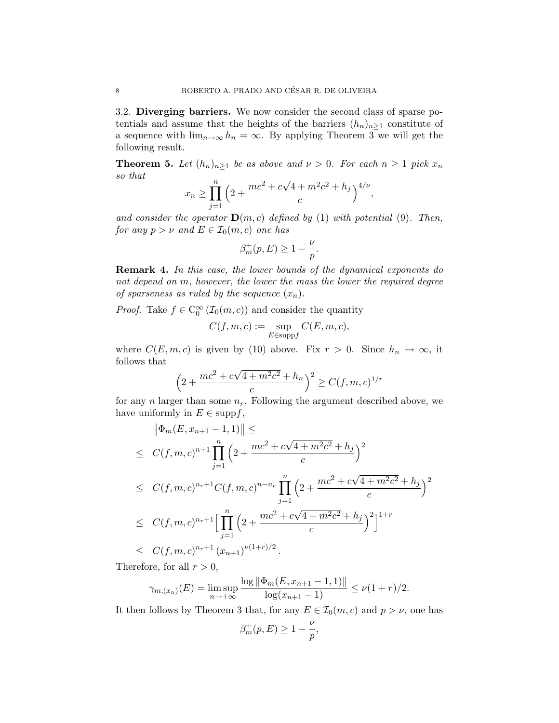3.2. Diverging barriers. We now consider the second class of sparse potentials and assume that the heights of the barriers  $(h_n)_{n\geq 1}$  constitute of a sequence with  $\lim_{n\to\infty} h_n = \infty$ . By applying Theorem 3 we will get the following result.

**Theorem 5.** Let  $(h_n)_{n\geq 1}$  be as above and  $\nu > 0$ . For each  $n \geq 1$  pick  $x_n$ so that √

$$
x_n \ge \prod_{j=1}^n \left(2 + \frac{mc^2 + c\sqrt{4 + m^2c^2} + h_j}{c}\right)^{4/\nu},
$$

and consider the operator  $\mathbf{D}(m, c)$  defined by (1) with potential (9). Then, for any  $p > \nu$  and  $E \in \mathcal{I}_0(m, c)$  one has

$$
\beta_m^+(p,E) \ge 1 - \frac{\nu}{p}.
$$

Remark 4. In this case, the lower bounds of the dynamical exponents do not depend on m, however, the lower the mass the lower the required degree of sparseness as ruled by the sequence  $(x_n)$ .

*Proof.* Take  $f \in C_0^{\infty}(\mathcal{I}_0(m, c))$  and consider the quantity

$$
C(f, m, c) := \sup_{E \in \text{supp} f} C(E, m, c),
$$

where  $C(E, m, c)$  is given by (10) above. Fix  $r > 0$ . Since  $h_n \to \infty$ , it follows that

$$
\left(2 + \frac{mc^2 + c\sqrt{4 + m^2c^2} + h_n}{c}\right)^2 \ge C(f, m, c)^{1/r}
$$

for any n larger than some  $n_r$ . Following the argument described above, we have uniformly in  $E \in \text{supp} f$ ,

$$
\|\Phi_m(E, x_{n+1} - 1, 1)\| \le
$$
\n
$$
\leq C(f, m, c)^{n+1} \prod_{j=1}^n \left(2 + \frac{mc^2 + c\sqrt{4 + m^2c^2} + h_j}{c}\right)^2
$$
\n
$$
\leq C(f, m, c)^{n_r+1} C(f, m, c)^{n-n_r} \prod_{j=1}^n \left(2 + \frac{mc^2 + c\sqrt{4 + m^2c^2} + h_j}{c}\right)^2
$$
\n
$$
\leq C(f, m, c)^{n_r+1} \Big[ \prod_{j=1}^n \left(2 + \frac{mc^2 + c\sqrt{4 + m^2c^2} + h_j}{c}\right)^2\Big]^{1+r}
$$
\n
$$
\leq C(f, m, c)^{n_r+1} (x_{n+1})^{\nu(1+r)/2}.
$$

Therefore, for all  $r > 0$ ,

$$
\gamma_{m,(x_n)}(E) = \limsup_{n \to +\infty} \frac{\log \|\Phi_m(E, x_{n+1} - 1, 1)\|}{\log(x_{n+1} - 1)} \le \nu(1+r)/2.
$$

It then follows by Theorem 3 that, for any  $E \in \mathcal{I}_0(m,c)$  and  $p > \nu$ , one has

$$
\beta^+_m(p,E)\geq 1-\frac{\nu}{p},
$$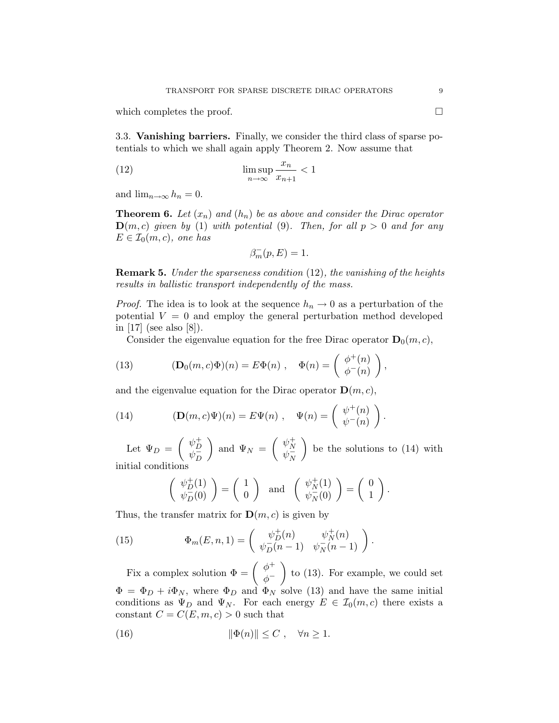which completes the proof.

3.3. Vanishing barriers. Finally, we consider the third class of sparse potentials to which we shall again apply Theorem 2. Now assume that

(12) 
$$
\limsup_{n \to \infty} \frac{x_n}{x_{n+1}} < 1
$$

and  $\lim_{n\to\infty} h_n = 0$ .

**Theorem 6.** Let  $(x_n)$  and  $(h_n)$  be as above and consider the Dirac operator  $\mathbf{D}(m, c)$  given by (1) with potential (9). Then, for all  $p > 0$  and for any  $E \in \mathcal{I}_0(m,c)$ , one has

$$
\beta_m^-(p,E)=1.
$$

Remark 5. Under the sparseness condition (12), the vanishing of the heights results in ballistic transport independently of the mass.

*Proof.* The idea is to look at the sequence  $h_n \to 0$  as a perturbation of the potential  $V = 0$  and employ the general perturbation method developed in [17] (see also [8]).

Consider the eigenvalue equation for the free Dirac operator  $\mathbf{D}_0(m, c)$ ,

(13) 
$$
(\mathbf{D}_0(m,c)\Phi)(n) = E\Phi(n) , \quad \Phi(n) = \begin{pmatrix} \phi^+(n) \\ \phi^-(n) \end{pmatrix},
$$

and the eigenvalue equation for the Dirac operator  $\mathbf{D}(m, c)$ ,

(14) 
$$
(\mathbf{D}(m,c)\Psi)(n) = E\Psi(n) , \quad \Psi(n) = \begin{pmatrix} \psi^+(n) \\ \psi^-(n) \end{pmatrix}.
$$

Let  $\Psi_D = \begin{pmatrix} \psi_D^+ \\ \psi_D^- \end{pmatrix}$  $\frac{\varphi_D}{\psi_D}$ D ) and  $\Psi_N = \begin{pmatrix} \psi_N^+ \\ \psi_N^- \end{pmatrix}$  $\frac{\varphi_N}{\psi_N^-}$ N ) be the solutions to  $(14)$  with initial conditions

$$
\begin{pmatrix} \psi_D^+(1) \\ \psi_D^-(0) \end{pmatrix} = \begin{pmatrix} 1 \\ 0 \end{pmatrix} \text{ and } \begin{pmatrix} \psi_N^+(1) \\ \psi_N^-(0) \end{pmatrix} = \begin{pmatrix} 0 \\ 1 \end{pmatrix}.
$$

.

Thus, the transfer matrix for  $\mathbf{D}(m, c)$  is given by

(15) 
$$
\Phi_m(E, n, 1) = \begin{pmatrix} \psi_D^+(n) & \psi_N^+(n) \\ \psi_D^-(n-1) & \psi_N^-(n-1) \end{pmatrix}
$$

Fix a complex solution  $\Phi = \begin{pmatrix} \phi^+ \\ z^- \end{pmatrix}$  $\phi^+$ to  $(13)$ . For example, we could set  $\Phi = \Phi_D + i \Phi_N$ , where  $\Phi_D$  and  $\Phi_N$  solve (13) and have the same initial conditions as  $\Psi_D$  and  $\Psi_N$ . For each energy  $E \in \mathcal{I}_0(m,c)$  there exists a constant  $C = C(E, m, c) > 0$  such that

(16) 
$$
\|\Phi(n)\| \le C, \quad \forall n \ge 1.
$$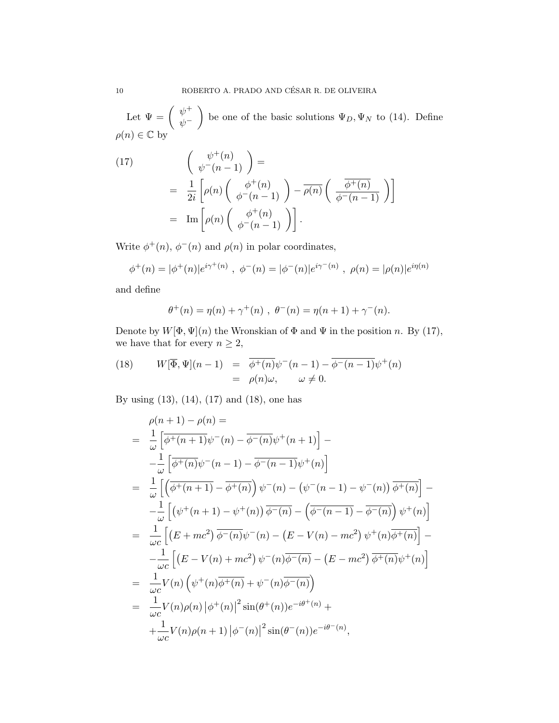Let  $\Psi = \begin{pmatrix} \psi^+ \\ \psi^- \end{pmatrix}$  $\psi^$ be one of the basic solutions  $\Psi_D, \Psi_N$  to (14). Define  $\rho(n) \in \mathbb{C}$  by

(17)  
\n
$$
\begin{pmatrix}\n\psi^+(n) \\
\psi^-(n-1)\n\end{pmatrix} =
$$
\n
$$
= \frac{1}{2i} \left[ \rho(n) \begin{pmatrix} \phi^+(n) \\
\phi^-(n-1) \end{pmatrix} - \overline{\rho(n)} \begin{pmatrix} \overline{\phi^+(n)} \\
\overline{\phi^-(n-1)} \end{pmatrix} \right]
$$
\n
$$
= \text{Im} \left[ \rho(n) \begin{pmatrix} \phi^+(n) \\
\phi^-(n-1) \end{pmatrix} \right].
$$

Write  $\phi^+(n)$ ,  $\phi^-(n)$  and  $\rho(n)$  in polar coordinates,

$$
\phi^+(n) = |\phi^+(n)|e^{i\gamma^+(n)}, \ \phi^-(n) = |\phi^-(n)|e^{i\gamma^-(n)}, \ \rho(n) = |\rho(n)|e^{i\eta(n)}
$$

and define

$$
\theta^+(n) = \eta(n) + \gamma^+(n) , \ \theta^-(n) = \eta(n+1) + \gamma^-(n).
$$

Denote by  $W[\Phi, \Psi](n)$  the Wronskian of  $\Phi$  and  $\Psi$  in the position n. By (17), we have that for every  $n\geq 2,$ 

(18) 
$$
W[\overline{\Phi}, \Psi](n-1) = \overline{\phi^+(n)} \psi^-(n-1) - \overline{\phi^-(n-1)} \psi^+(n)
$$

$$
= \rho(n)\omega, \qquad \omega \neq 0.
$$

By using (13), (14), (17) and (18), one has

$$
\rho(n+1) - \rho(n) =
$$
\n
$$
= \frac{1}{\omega} \left[ \overline{\phi^+(n+1)} \psi^-(n) - \overline{\phi^-(n)} \psi^+(n+1) \right] -
$$
\n
$$
- \frac{1}{\omega} \left[ \overline{\phi^+(n)} \psi^-(n-1) - \overline{\phi^-(n-1)} \psi^+(n) \right]
$$
\n
$$
= \frac{1}{\omega} \left[ \left( \overline{\phi^+(n+1)} - \overline{\phi^+(n)} \right) \psi^-(n) - \left( \psi^-(n-1) - \psi^-(n) \right) \overline{\phi^+(n)} \right] -
$$
\n
$$
- \frac{1}{\omega} \left[ \left( \psi^+(n+1) - \psi^+(n) \right) \overline{\phi^-(n)} - \left( \overline{\phi^-(n-1)} - \overline{\phi^-(n)} \right) \psi^+(n) \right]
$$
\n
$$
= \frac{1}{\omega c} \left[ \left( E + mc^2 \right) \overline{\phi^-(n)} \psi^-(n) - \left( E - V(n) - mc^2 \right) \psi^+(n) \overline{\phi^+(n)} \right] -
$$
\n
$$
- \frac{1}{\omega c} \left[ \left( E - V(n) + mc^2 \right) \psi^-(n) \overline{\phi^-(n)} - \left( E - mc^2 \right) \overline{\phi^+(n)} \psi^+(n) \right]
$$
\n
$$
= \frac{1}{\omega c} V(n) \left( \psi^+(n) \overline{\phi^+(n)} + \psi^-(n) \overline{\phi^-(n)} \right)
$$
\n
$$
= \frac{1}{\omega c} V(n) \rho(n) \left| \phi^+(n) \right|^2 \sin(\theta^+(n)) e^{-i\theta^+(n)} +
$$
\n
$$
+ \frac{1}{\omega c} V(n) \rho(n+1) \left| \phi^-(n) \right|^2 \sin(\theta^-(n)) e^{-i\theta^-(n)},
$$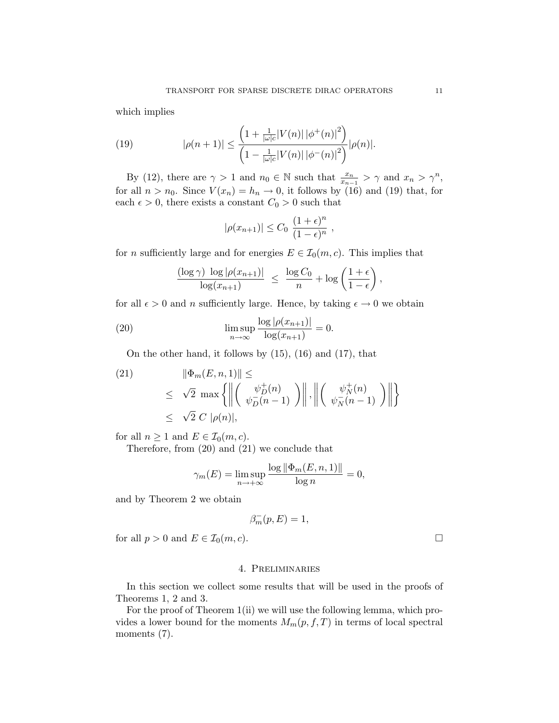which implies

(19) 
$$
|\rho(n+1)| \leq \frac{\left(1 + \frac{1}{|\omega|c}|V(n)| |\phi^+(n)|^2\right)}{\left(1 - \frac{1}{|\omega|c}|V(n)| |\phi^-(n)|^2\right)} |\rho(n)|.
$$

By (12), there are  $\gamma > 1$  and  $n_0 \in \mathbb{N}$  such that  $\frac{x_n}{x_{n-1}} > \gamma$  and  $x_n > \gamma^n$ , for all  $n > n_0$ . Since  $V(x_n) = h_n \to 0$ , it follows by (16) and (19) that, for each  $\epsilon > 0$ , there exists a constant  $C_0 > 0$  such that

$$
|\rho(x_{n+1})| \leq C_0 \frac{(1+\epsilon)^n}{(1-\epsilon)^n},
$$

for *n* sufficiently large and for energies  $E \in \mathcal{I}_0(m, c)$ . This implies that

$$
\frac{(\log \gamma) \, \log |\rho(x_{n+1})|}{\log(x_{n+1})} \ \leq \ \frac{\log C_0}{n} + \log \left( \frac{1+\epsilon}{1-\epsilon} \right),
$$

for all  $\epsilon > 0$  and *n* sufficiently large. Hence, by taking  $\epsilon \to 0$  we obtain

(20) 
$$
\limsup_{n \to \infty} \frac{\log |\rho(x_{n+1})|}{\log(x_{n+1})} = 0.
$$

On the other hand, it follows by  $(15)$ ,  $(16)$  and  $(17)$ , that

(21) 
$$
\|\Phi_m(E, n, 1)\| \le
$$
  
\n
$$
\leq \sqrt{2} \max \left\{ \left\| \left( \begin{array}{c} \psi_D^+(n) \\ \psi_D^-(n-1) \end{array} \right) \right\|, \left\| \left( \begin{array}{c} \psi_N^+(n) \\ \psi_N^-(n-1) \end{array} \right) \right\| \right\}
$$
  
\n
$$
\leq \sqrt{2} C |\rho(n)|,
$$

for all  $n \geq 1$  and  $E \in \mathcal{I}_0(m, c)$ .

Therefore, from (20) and (21) we conclude that

$$
\gamma_m(E) = \limsup_{n \to +\infty} \frac{\log \|\Phi_m(E, n, 1)\|}{\log n} = 0,
$$

and by Theorem 2 we obtain

$$
\beta_m^-(p,E) = 1,
$$

for all  $p > 0$  and  $E \in \mathcal{I}_0(m, c)$ .

#### 4. Preliminaries

In this section we collect some results that will be used in the proofs of Theorems 1, 2 and 3.

For the proof of Theorem 1(ii) we will use the following lemma, which provides a lower bound for the moments  $M_m(p, f, T)$  in terms of local spectral moments  $(7)$ .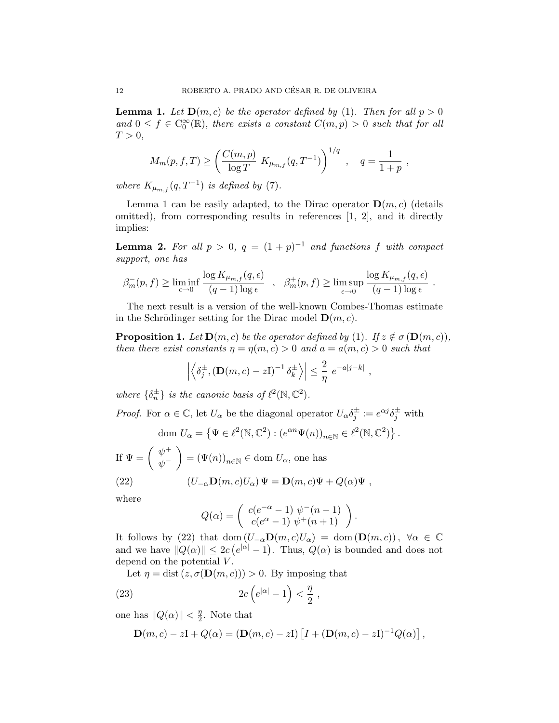**Lemma 1.** Let  $\mathbf{D}(m, c)$  be the operator defined by (1). Then for all  $p > 0$ and  $0 \leq f \in C_0^{\infty}(\mathbb{R})$ , there exists a constant  $C(m, p) > 0$  such that for all  $T > 0$ ,

$$
M_m(p, f, T) \ge \left(\frac{C(m, p)}{\log T} K_{\mu_{m,f}}(q, T^{-1})\right)^{1/q}, \quad q = \frac{1}{1+p}
$$

where  $K_{\mu_{m,f}}(q,T^{-1})$  is defined by (7).

Lemma 1 can be easily adapted, to the Dirac operator  $\mathbf{D}(m, c)$  (details omitted), from corresponding results in references  $[1, 2]$ , and it directly implies:

**Lemma 2.** For all  $p > 0$ ,  $q = (1 + p)^{-1}$  and functions f with compact support, one has

$$
\beta_m^-(p, f) \ge \liminf_{\epsilon \to 0} \frac{\log K_{\mu_{m,f}}(q, \epsilon)}{(q-1)\log \epsilon} \quad , \quad \beta_m^+(p, f) \ge \limsup_{\epsilon \to 0} \frac{\log K_{\mu_{m,f}}(q, \epsilon)}{(q-1)\log \epsilon}
$$

.

The next result is a version of the well-known Combes-Thomas estimate in the Schrödinger setting for the Dirac model  $\mathbf{D}(m, c)$ .

**Proposition 1.** Let  $\mathbf{D}(m, c)$  be the operator defined by (1). If  $z \notin \sigma(\mathbf{D}(m, c))$ , then there exist constants  $\eta = \eta(m, c) > 0$  and  $a = a(m, c) > 0$  such that

$$
\left| \left\langle \delta_j^{\pm}, (\mathbf{D}(m, c) - z\mathbf{I})^{-1} \delta_k^{\pm} \right\rangle \right| \leq \frac{2}{\eta} e^{-a|j-k|},
$$

where  $\{\delta_n^{\pm}\}\$ is the canonic basis of  $\ell^2(\mathbb{N}, \mathbb{C}^2)$ .

*Proof.* For  $\alpha \in \mathbb{C}$ , let  $U_{\alpha}$  be the diagonal operator  $U_{\alpha} \delta_j^{\pm} := e^{\alpha j} \delta_j^{\pm}$  with

dom 
$$
U_{\alpha} = \{ \Psi \in \ell^2(\mathbb{N}, \mathbb{C}^2) : (e^{\alpha n} \Psi(n))_{n \in \mathbb{N}} \in \ell^2(\mathbb{N}, \mathbb{C}^2) \}.
$$

If  $\Psi = \begin{pmatrix} \psi^+ \\ \psi^- \end{pmatrix}$  $\psi^ \Big) = (\Psi(n))_{n \in \mathbb{N}} \in \text{dom } U_\alpha$ , one has

(22) 
$$
(U_{-\alpha}\mathbf{D}(m,c)U_{\alpha})\Psi = \mathbf{D}(m,c)\Psi + Q(\alpha)\Psi,
$$

where

$$
Q(\alpha) = \begin{pmatrix} c(e^{-\alpha} - 1) \psi^-(n-1) \\ c(e^{\alpha} - 1) \psi^+(n+1) \end{pmatrix}.
$$

It follows by (22) that dom  $(U_{-\alpha}\mathbf{D}(m, c)U_{\alpha}) = \text{dom}(\mathbf{D}(m, c))$ ,  $\forall \alpha \in \mathbb{C}$ and we have  $||Q(\alpha)|| \leq 2c (e^{|\alpha|} - 1)$ . Thus,  $Q(\alpha)$  is bounded and does not depend on the potential  $V$ .

Let  $\eta = \text{dist}(z, \sigma(\mathbf{D}(m, c))) > 0$ . By imposing that

(23) 
$$
2c\left(e^{|\alpha|}-1\right)<\frac{\eta}{2}\;,
$$

one has  $||Q(\alpha)|| < \frac{\eta}{2}$  $\frac{\eta}{2}$ . Note that

$$
\mathbf{D}(m,c) - z\mathbf{I} + Q(\alpha) = (\mathbf{D}(m,c) - z\mathbf{I}) \left[ I + (\mathbf{D}(m,c) - z\mathbf{I})^{-1} Q(\alpha) \right],
$$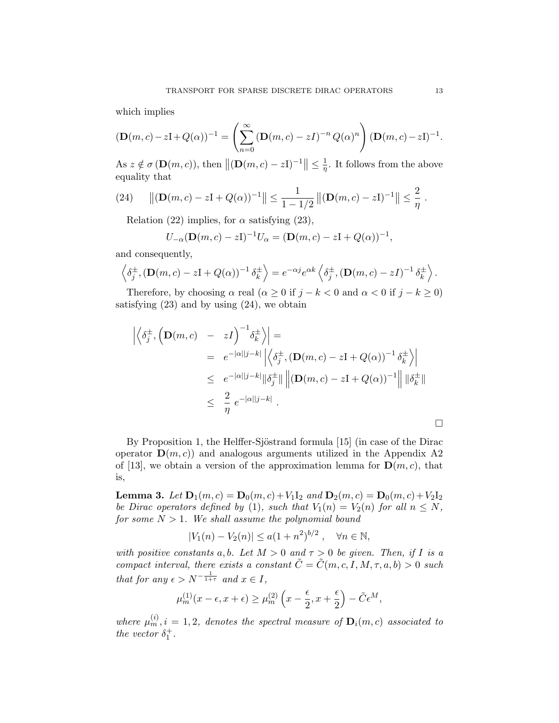which implies

$$
(\mathbf{D}(m,c)-z\mathbf{I}+Q(\alpha))^{-1}=\left(\sum_{n=0}^{\infty}\left(\mathbf{D}(m,c)-z\mathbf{I}\right)^{-n}Q(\alpha)^{n}\right)(\mathbf{D}(m,c)-z\mathbf{I})^{-1}.
$$

As  $z \notin \sigma(\mathbf{D}(m, c)),$  then  $\|(\mathbf{D}(m, c) - zI)^{-1}\| \leq \frac{1}{\eta}$  $\frac{1}{\eta}$ . It follows from the above equality that

(24) 
$$
\|(\mathbf{D}(m,c)-z\mathbf{I}+Q(\alpha))^{-1}\| \leq \frac{1}{1-1/2} \|(\mathbf{D}(m,c)-z\mathbf{I})^{-1}\| \leq \frac{2}{\eta}.
$$

Relation (22) implies, for  $\alpha$  satisfying (23),

$$
U_{-\alpha}(\mathbf{D}(m,c) - zI)^{-1}U_{\alpha} = (\mathbf{D}(m,c) - zI + Q(\alpha))^{-1},
$$

and consequently,

$$
\left\langle \delta_j^{\pm}, (\mathbf{D}(m, c) - z\mathbf{I} + Q(\alpha))^{-1} \delta_k^{\pm} \right\rangle = e^{-\alpha j} e^{\alpha k} \left\langle \delta_j^{\pm}, (\mathbf{D}(m, c) - z\mathbf{I})^{-1} \delta_k^{\pm} \right\rangle.
$$

Therefore, by choosing  $\alpha$  real  $(\alpha \geq 0$  if  $j - k < 0$  and  $\alpha < 0$  if  $j - k \geq 0$ ) satisfying  $(23)$  and by using  $(24)$ , we obtain

$$
\left| \left\langle \delta_j^{\pm}, \left( \mathbf{D}(m, c) - zI \right)^{-1} \delta_k^{\pm} \right\rangle \right| =
$$
\n
$$
= e^{-|\alpha||j-k|} \left| \left\langle \delta_j^{\pm}, \left( \mathbf{D}(m, c) - zI + Q(\alpha) \right)^{-1} \delta_k^{\pm} \right\rangle \right|
$$
\n
$$
\leq e^{-|\alpha||j-k|} \left\| \delta_j^{\pm} \right\| \left\| (\mathbf{D}(m, c) - zI + Q(\alpha))^{-1} \right\| \left\| \delta_k^{\pm} \right\|
$$
\n
$$
\leq \frac{2}{\eta} e^{-|\alpha||j-k|} .
$$

By Proposition 1, the Helffer-Sjöstrand formula [15] (in case of the Dirac operator  $\mathbf{D}(m, c)$  and analogous arguments utilized in the Appendix A2 of [13], we obtain a version of the approximation lemma for  $\mathbf{D}(m, c)$ , that is,

**Lemma 3.** Let  $D_1(m, c) = D_0(m, c) + V_1I_2$  and  $D_2(m, c) = D_0(m, c) + V_2I_2$ be Dirac operators defined by (1), such that  $V_1(n) = V_2(n)$  for all  $n \leq N$ , for some  $N > 1$ . We shall assume the polynomial bound

$$
|V_1(n) - V_2(n)| \le a(1 + n^2)^{b/2}, \quad \forall n \in \mathbb{N},
$$

with positive constants a, b. Let  $M > 0$  and  $\tau > 0$  be given. Then, if I is a compact interval, there exists a constant  $\tilde{C} = \tilde{C}(m, c, I, M, \tau, a, b) > 0$  such that for any  $\epsilon > N^{-\frac{1}{1+\tau}}$  and  $x \in I$ ,

$$
\mu_m^{(1)}(x-\epsilon,x+\epsilon) \ge \mu_m^{(2)}\left(x-\frac{\epsilon}{2},x+\frac{\epsilon}{2}\right) - \tilde{C}\epsilon^M,
$$

where  $\mu_m^{(i)}$ ,  $i = 1, 2$ , denotes the spectral measure of  $\mathbf{D}_i(m, c)$  associated to the vector  $\delta_1^+$ .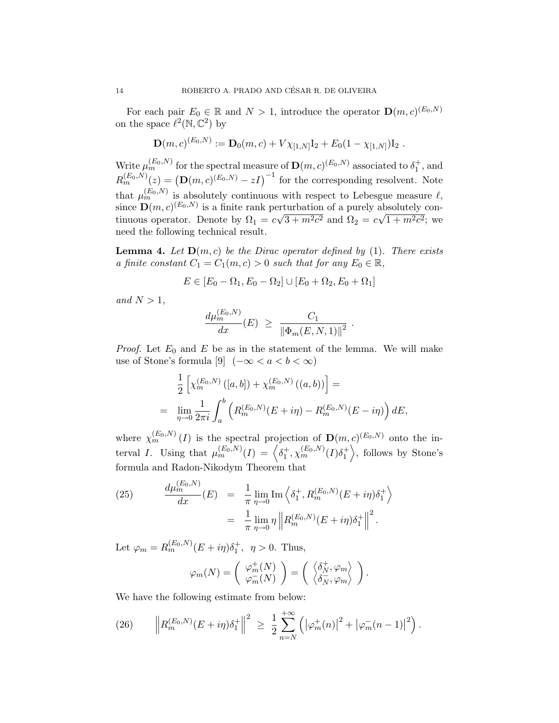For each pair  $E_0 \in \mathbb{R}$  and  $N > 1$ , introduce the operator  $\mathbf{D}(m, c)^{(E_0, N)}$ on the space  $\ell^2(\mathbb{N}, \mathbb{C}^2)$  by

$$
\mathbf{D}(m,c)^{(E_0,N)} := \mathbf{D}_0(m,c) + V\chi_{[1,N]}\mathbf{I}_2 + E_0(1-\chi_{[1,N]})\mathbf{I}_2.
$$

Write  $\mu_m^{(E_0,N)}$  for the spectral measure of  $\mathbf{D}(m,c)^{(E_0,N)}$  associated to  $\delta_1^+$ , and  $R_m^{(E_0,N)}(z) = (\mathbf{D}(m,c)^{(E_0,N)} - zI)^{-1}$  for the corresponding resolvent. Note that  $\mu_m^{(E_0,N)}$  is absolutely continuous with respect to Lebesgue measure  $\ell$ , since  $\mathbf{D}(m, c)^{(E_0, N)}$  is a finite rank perturbation of a purely absolutely continuous operator. Denote by  $\Omega_1 = c\sqrt{3+m^2c^2}$  and  $\Omega_2 = c\sqrt{1+m^2c^2}$ ; we need the following technical result.

**Lemma 4.** Let  $D(m, c)$  be the Dirac operator defined by (1). There exists a finite constant  $C_1 = C_1(m, c) > 0$  such that for any  $E_0 \in \mathbb{R}$ ,

$$
E \in [E_0 - \Omega_1, E_0 - \Omega_2] \cup [E_0 + \Omega_2, E_0 + \Omega_1]
$$

and  $N > 1$ ,

$$
\frac{d\mu_m^{(E_0,N)}}{dx}(E) \ \geq \ \frac{C_1}{\left\| \Phi_m(E,N,1) \right\|^2} \ .
$$

*Proof.* Let  $E_0$  and  $E$  be as in the statement of the lemma. We will make use of Stone's formula [9]  $(-\infty < a < b < \infty)$ 

$$
\frac{1}{2} \left[ \chi_m^{(E_0, N)} \left( [a, b] \right) + \chi_m^{(E_0, N)} \left( (a, b) \right) \right] =
$$
\n
$$
= \lim_{\eta \to 0} \frac{1}{2\pi i} \int_a^b \left( R_m^{(E_0, N)} (E + i\eta) - R_m^{(E_0, N)} (E - i\eta) \right) dE,
$$

where  $\chi_m^{(E_0,N)}(I)$  is the spectral projection of  $\mathbf{D}(m,c)^{(E_0,N)}$  onto the interval I. Using that  $\mu_m^{(E_0,N)}(I) = \left\langle \delta_1^+, \chi_m^{(E_0,N)}(I) \delta_1^+ \right\rangle$ , follows by Stone's formula and Radon-Nikodym Theorem that

(25) 
$$
\frac{d\mu_m^{(E_0, N)}}{dx}(E) = \frac{1}{\pi} \lim_{\eta \to 0} \text{Im} \left\langle \delta_1^+, R_m^{(E_0, N)}(E + i\eta) \delta_1^+ \right\rangle
$$

$$
= \frac{1}{\pi} \lim_{\eta \to 0} \eta \left\| R_m^{(E_0, N)}(E + i\eta) \delta_1^+ \right\|^2.
$$

Let  $\varphi_m = R_m^{(E_0, N)}(E + i\eta)\delta_1^+, \eta > 0$ . Thus,

$$
\varphi_m(N) = \begin{pmatrix} \varphi_m^+(N) \\ \varphi_m^-(N) \end{pmatrix} = \begin{pmatrix} \left\langle \delta_N^+, \varphi_m \right\rangle \\ \left\langle \delta_N^-, \varphi_m \right\rangle \end{pmatrix}.
$$

+∞

We have the following estimate from below:

(26) 
$$
\left\| R_m^{(E_0,N)}(E+i\eta)\delta_1^+\right\|^2 \,\,\geq\,\,\frac{1}{2}\sum_{n=N}^{+\infty} \left( \left| \varphi_m^+(n) \right|^2 + \left| \varphi_m^-(n-1) \right|^2 \right).
$$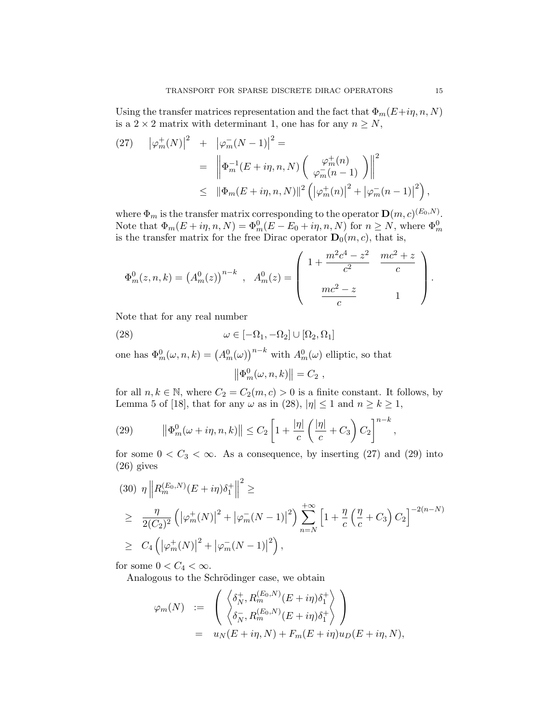Using the transfer matrices representation and the fact that  $\Phi_m(E+i\eta, n, N)$ is a 2  $\times$  2 matrix with determinant 1, one has for any  $n \geq N$ ,

(27) 
$$
|\varphi_m^+(N)|^2 + |\varphi_m^-(N-1)|^2 =
$$
  
= 
$$
\left\| \Phi_m^{-1}(E + i\eta, n, N) \begin{pmatrix} \varphi_m^+(n) \\ \varphi_m^-(n-1) \end{pmatrix} \right\|^2
$$
  

$$
\leq \|\Phi_m(E + i\eta, n, N)\|^2 \left( |\varphi_m^+(n)|^2 + |\varphi_m^-(n-1)|^2 \right),
$$

where  $\Phi_m$  is the transfer matrix corresponding to the operator  $\mathbf{D}(m, c)^{(E_0, N)}$ . Note that  $\Phi_m(E+i\eta,n,N) = \Phi_m^0(E - E_0 + i\eta,n,N)$  for  $n \geq N$ , where  $\Phi_m^0$ is the transfer matrix for the free Dirac operator  $\mathbf{D}_0(m, c)$ , that is,

$$
\Phi_m^0(z,n,k) = (A_m^0(z))^{n-k} , A_m^0(z) = \begin{pmatrix} 1 + \frac{m^2c^4 - z^2}{c^2} & \frac{mc^2 + z}{c} \\ \frac{mc^2 - z}{c} & 1 \end{pmatrix}.
$$

Note that for any real number

(28) 
$$
\omega \in [-\Omega_1, -\Omega_2] \cup [\Omega_2, \Omega_1]
$$

one has  $\Phi_m^0(\omega, n, k) = (A_m^0(\omega))^{n-k}$  with  $A_m^0(\omega)$  elliptic, so that

$$
\left\|\Phi_m^0(\omega,n,k)\right\|=C_2,
$$

for all  $n, k \in \mathbb{N}$ , where  $C_2 = C_2(m, c) > 0$  is a finite constant. It follows, by Lemma 5 of [18], that for any  $\omega$  as in (28),  $|\eta| \le 1$  and  $n \ge k \ge 1$ ,

(29) 
$$
\left\|\Phi_m^0(\omega+i\eta,n,k)\right\| \leq C_2 \left[1+\frac{|\eta|}{c}\left(\frac{|\eta|}{c}+C_3\right)C_2\right]^{n-k}
$$

for some  $0 < C_3 < \infty$ . As a consequence, by inserting (27) and (29) into (26) gives

$$
(30) \ \eta \left\| R_m^{(E_0, N)}(E + i\eta) \delta_1^+ \right\|^2 \ge
$$
  
\n
$$
\geq \ \frac{\eta}{2(C_2)^2} \left( \left| \varphi_m^+(N) \right|^2 + \left| \varphi_m^-(N-1) \right|^2 \right) \sum_{n=N}^{+\infty} \left[ 1 + \frac{\eta}{c} \left( \frac{\eta}{c} + C_3 \right) C_2 \right]^{-2(n-N)}
$$
  
\n
$$
\geq \ C_4 \left( \left| \varphi_m^+(N) \right|^2 + \left| \varphi_m^-(N-1) \right|^2 \right),
$$

for some  $0 < C_4 < \infty$ .

Analogous to the Schrödinger case, we obtain

$$
\varphi_m(N) := \left( \begin{array}{c} \left\langle \delta_N^+, R_m^{(E_0, N)}(E + i\eta)\delta_1^+ \right\rangle \\ \left\langle \delta_N^-, R_m^{(E_0, N)}(E + i\eta)\delta_1^+ \right\rangle \end{array} \right)
$$
  
=  $u_N(E + i\eta, N) + F_m(E + i\eta)u_D(E + i\eta, N),$ 

,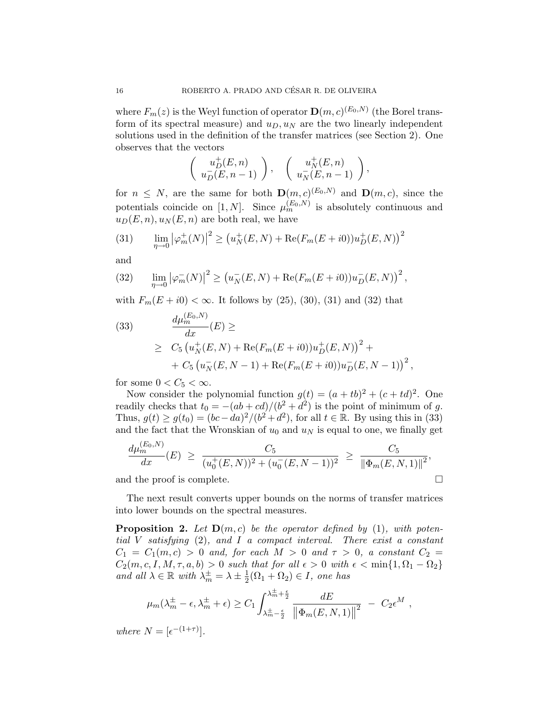where  $F_m(z)$  is the Weyl function of operator  $\mathbf{D}(m, c)^{(E_0, N)}$  (the Borel transform of its spectral measure) and  $u_D, u_N$  are the two linearly independent solutions used in the definition of the transfer matrices (see Section 2). One observes that the vectors

$$
\left(\begin{array}{c} u_D^+(E,n) \\ u_D^-(E,n-1) \end{array}\right), \quad \left(\begin{array}{c} u_N^+(E,n) \\ u_N^-(E,n-1) \end{array}\right),
$$

for  $n \leq N$ , are the same for both  $\mathbf{D}(m,c)^{(E_0,N)}$  and  $\mathbf{D}(m,c)$ , since the potentials coincide on [1, N]. Since  $\mu_m^{(E_0, N)}$  is absolutely continuous and  $u_D(E, n), u_N(E, n)$  are both real, we have

(31) 
$$
\lim_{\eta \to 0} |\varphi_m^+(N)|^2 \ge (u_N^+(E, N) + \text{Re}(F_m(E + i0))u_D^+(E, N))^2
$$

and

(32) 
$$
\lim_{\eta \to 0} |\varphi_m^-(N)|^2 \ge (u_N^-(E, N) + \text{Re}(F_m(E + i0))u_D^-(E, N))^2,
$$

with  $F_m(E + i0) < \infty$ . It follows by (25), (30), (31) and (32) that

(33) 
$$
\frac{d\mu_m^{(E_0, N)}}{dx}(E) \ge
$$
  
 
$$
\ge C_5 \left( u_N^+(E, N) + \text{Re}(F_m(E + i0))u_D^+(E, N) \right)^2 +
$$
  
 
$$
+ C_5 \left( u_N^-(E, N - 1) + \text{Re}(F_m(E + i0))u_D^-(E, N - 1) \right)^2,
$$

for some  $0 < C_5 < \infty$ .

Now consider the polynomial function  $g(t) = (a + tb)^2 + (c + td)^2$ . One readily checks that  $t_0 = -(ab + cd)/(b^2 + d^2)$  is the point of minimum of g. Thus,  $g(t) \ge g(t_0) = (bc - da)^2/(b^2 + d^2)$ , for all  $t \in \mathbb{R}$ . By using this in (33) and the fact that the Wronskian of  $u_0$  and  $u_N$  is equal to one, we finally get

$$
\frac{d\mu_m^{(E_0, N)}}{dx}(E) \ge \frac{C_5}{(u_0^+(E, N))^2 + (u_0^-(E, N-1))^2} \ge \frac{C_5}{\|\Phi_m(E, N, 1)\|^2},
$$
  
and the proof is complete.

The next result converts upper bounds on the norms of transfer matrices into lower bounds on the spectral measures.

**Proposition 2.** Let  $D(m, c)$  be the operator defined by (1), with potential V satisfying (2), and I a compact interval. There exist a constant  $C_1 = C_1(m, c) > 0$  and, for each  $M > 0$  and  $\tau > 0$ , a constant  $C_2 =$  $C_2(m, c, I, M, \tau, a, b) > 0$  such that for all  $\epsilon > 0$  with  $\epsilon < \min\{1, \Omega_1 - \Omega_2\}$ and all  $\lambda \in \mathbb{R}$  with  $\lambda_m^{\pm} = \lambda \pm \frac{1}{2}$  $\frac{1}{2}(\Omega_1 + \Omega_2) \in I$ , one has

$$
\mu_m(\lambda_m^{\pm} - \epsilon, \lambda_m^{\pm} + \epsilon) \ge C_1 \int_{\lambda_m^{\pm} - \frac{\epsilon}{2}}^{\lambda_m^{\pm} + \frac{\epsilon}{2}} \frac{dE}{\left\| \Phi_m(E, N, 1) \right\|^2} - C_2 \epsilon^M,
$$

where  $N = \left[\epsilon^{-(1+\tau)}\right]$ .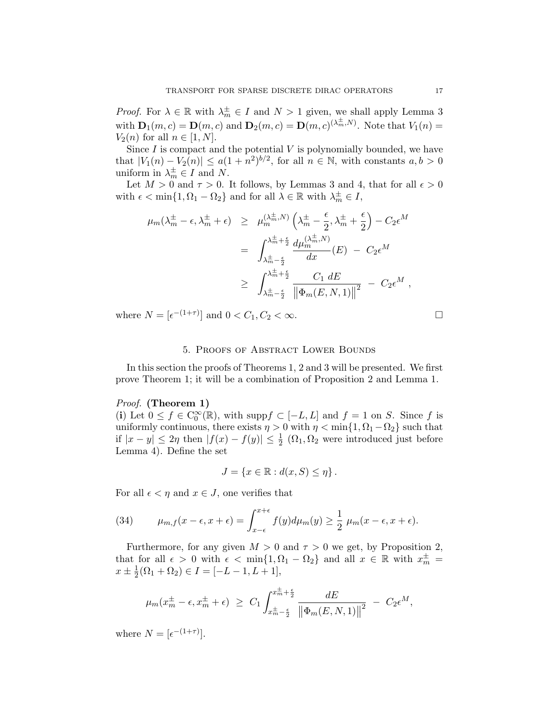*Proof.* For  $\lambda \in \mathbb{R}$  with  $\lambda_m^{\pm} \in I$  and  $N > 1$  given, we shall apply Lemma 3 with  $\mathbf{D}_1(m,c) = \mathbf{D}(m,c)$  and  $\mathbf{D}_2(m,c) = \mathbf{D}(m,c)^{(\lambda_m^{\pm},N)}$ . Note that  $V_1(n) =$  $V_2(n)$  for all  $n \in [1, N]$ .

Since  $I$  is compact and the potential  $V$  is polynomially bounded, we have that  $|V_1(n) - V_2(n)| \leq a(1 + n^2)^{b/2}$ , for all  $n \in \mathbb{N}$ , with constants  $a, b > 0$ uniform in  $\lambda_m^{\pm} \in I$  and N.

Let  $M > 0$  and  $\tau > 0$ . It follows, by Lemmas 3 and 4, that for all  $\epsilon > 0$ with  $\epsilon < \min\{1, \Omega_1 - \Omega_2\}$  and for all  $\lambda \in \mathbb{R}$  with  $\lambda_m^{\pm} \in I$ ,

$$
\mu_m(\lambda_m^{\pm} - \epsilon, \lambda_m^{\pm} + \epsilon) \geq \mu_m^{(\lambda_m^{\pm}, N)} \left( \lambda_m^{\pm} - \frac{\epsilon}{2}, \lambda_m^{\pm} + \frac{\epsilon}{2} \right) - C_2 \epsilon^M
$$
  

$$
= \int_{\lambda_m^{\pm} - \frac{\epsilon}{2}}^{\lambda_m^{\pm} + \frac{\epsilon}{2}} \frac{d\mu_m^{(\lambda_m^{\pm}, N)}}{dx} (E) - C_2 \epsilon^M
$$
  

$$
\geq \int_{\lambda_m^{\pm} - \frac{\epsilon}{2}}^{\lambda_m^{\pm} + \frac{\epsilon}{2}} \frac{C_1}{\left\| \Phi_m(E, N, 1) \right\|^2} - C_2 \epsilon^M ,
$$

where  $N = [\epsilon^{-(1+\tau)}]$  and  $0 < C_1, C_2 < \infty$ .

#### 5. Proofs of Abstract Lower Bounds

In this section the proofs of Theorems 1, 2 and 3 will be presented. We first prove Theorem 1; it will be a combination of Proposition 2 and Lemma 1.

#### Proof. (Theorem 1)

(i) Let  $0 \le f \in C_0^{\infty}(\mathbb{R})$ , with supp $f \subset [-L, L]$  and  $f = 1$  on S. Since f is uniformly continuous, there exists  $\eta > 0$  with  $\eta < \min\{1, \Omega_1 - \Omega_2\}$  such that if  $|x - y| \leq 2\eta$  then  $|f(x) - f(y)| \leq \frac{1}{2}$  ( $\Omega_1, \Omega_2$  were introduced just before Lemma 4). Define the set

$$
J = \{x \in \mathbb{R} : d(x, S) \le \eta\}.
$$

For all  $\epsilon < \eta$  and  $x \in J$ , one verifies that

(34) 
$$
\mu_{m,f}(x-\epsilon,x+\epsilon) = \int_{x-\epsilon}^{x+\epsilon} f(y) d\mu_m(y) \geq \frac{1}{2} \mu_m(x-\epsilon,x+\epsilon).
$$

Furthermore, for any given  $M > 0$  and  $\tau > 0$  we get, by Proposition 2, that for all  $\epsilon > 0$  with  $\epsilon < \min\{1, \Omega_1 - \Omega_2\}$  and all  $x \in \mathbb{R}$  with  $x_m^{\pm} =$  $x \pm \frac{1}{2}$  $\frac{1}{2}(\Omega_1 + \Omega_2) \in I = [-L - 1, L + 1],$ 

$$
\mu_m(x_m^{\pm} - \epsilon, x_m^{\pm} + \epsilon) \ \geq \ C_1 \int_{x_m^{\pm} - \frac{\epsilon}{2}}^{x_m^{\pm} + \frac{\epsilon}{2}} \frac{dE}{\left\| \Phi_m(E, N, 1) \right\|^2} \ - \ C_2 \epsilon^M,
$$

where  $N = \left[\epsilon^{-(1+\tau)}\right]$ .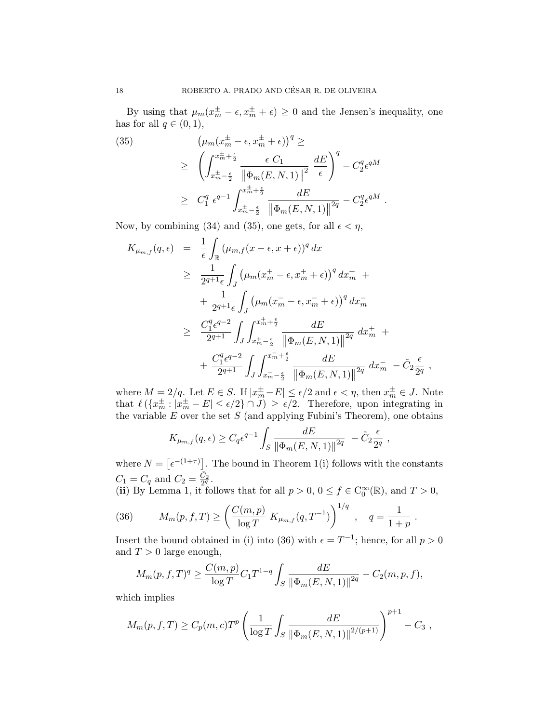By using that  $\mu_m(x_m^{\pm} - \epsilon, x_m^{\pm} + \epsilon) \geq 0$  and the Jensen's inequality, one has for all  $q \in (0,1)$ ,

(35)  
\n
$$
(\mu_m(x_m^{\pm} - \epsilon, x_m^{\pm} + \epsilon))^q \ge
$$
\n
$$
\geq \left( \int_{x_m^{\pm} - \frac{\epsilon}{2}}^{x_m^{\pm} + \frac{\epsilon}{2}} \frac{\epsilon C_1}{\|\Phi_m(E, N, 1)\|^2} \frac{dE}{\epsilon} \right)^q - C_2^q \epsilon^{qM}
$$
\n
$$
\geq C_1^q \epsilon^{q-1} \int_{x_m^{\pm} - \frac{\epsilon}{2}}^{x_m^{\pm} + \frac{\epsilon}{2}} \frac{dE}{\|\Phi_m(E, N, 1)\|^2} - C_2^q \epsilon^{qM}.
$$

Now, by combining (34) and (35), one gets, for all  $\epsilon < \eta$ ,

$$
K_{\mu_{m,f}}(q,\epsilon) = \frac{1}{\epsilon} \int_{\mathbb{R}} (\mu_{m,f}(x-\epsilon,x+\epsilon))^q dx
$$
  
\n
$$
\geq \frac{1}{2^{q+1}\epsilon} \int_{J} (\mu_m(x_m^+ - \epsilon, x_m^+ + \epsilon))^q dx_m^+ + \frac{1}{2^{q+1}\epsilon} \int_{J} (\mu_m(x_m^- - \epsilon, x_m^- + \epsilon))^q dx_m^-
$$
  
\n
$$
\geq \frac{C_1^q \epsilon^{q-2}}{2^{q+1}} \int_{J} \int_{x_m^+ - \frac{\epsilon}{2}}^{x_m^+ + \frac{\epsilon}{2}} \frac{dE}{\|\Phi_m(E, N, 1)\|^{2q}} dx_m^+ + \frac{C_1^q \epsilon^{q-2}}{2^{q+1}} \int_{J} \int_{x_m^- - \frac{\epsilon}{2}}^{x_m^- + \frac{\epsilon}{2}} \frac{dE}{\|\Phi_m(E, N, 1)\|^{2q}} dx_m^- - \tilde{C}_2 \frac{\epsilon}{2^q},
$$

where  $M = 2/q$ . Let  $E \in S$ . If  $|x_m^{\pm} - E| \le \epsilon/2$  and  $\epsilon < \eta$ , then  $x_m^{\pm} \in J$ . Note that  $\ell(\lbrace x_m^{\pm}: |x_m^{\pm}-E| \leq \epsilon/2 \rbrace \cap J) \geq \epsilon/2$ . Therefore, upon integrating in the variable  $E$  over the set  $S$  (and applying Fubini's Theorem), one obtains

$$
K_{\mu_{m,f}}(q,\epsilon) \geq C_q \epsilon^{q-1} \int_S \frac{dE}{\|\Phi_m(E,N,1)\|^{2q}} - \tilde{C}_2 \frac{\epsilon}{2^q},
$$

where  $N = \lceil \epsilon^{-(1+\tau)} \rceil$ . The bound in Theorem 1(i) follows with the constants  $C_1 = C_q$  and  $C_2 = \frac{\tilde{C}_2}{2^q}$ .

(ii) By Lemma 1, it follows that for all  $p > 0$ ,  $0 \le f \in C_0^{\infty}(\mathbb{R})$ , and  $T > 0$ ,

.

(36) 
$$
M_m(p, f, T) \ge \left(\frac{C(m, p)}{\log T} K_{\mu_{m, f}}(q, T^{-1})\right)^{1/q}, \quad q = \frac{1}{1 + p}
$$

Insert the bound obtained in (i) into (36) with  $\epsilon = T^{-1}$ ; hence, for all  $p > 0$ and  $T > 0$  large enough,

$$
M_m(p, f, T)^q \ge \frac{C(m, p)}{\log T} C_1 T^{1-q} \int_S \frac{dE}{\|\Phi_m(E, N, 1)\|^{2q}} - C_2(m, p, f),
$$

which implies

$$
M_m(p, f, T) \ge C_p(m, c) T^p \left( \frac{1}{\log T} \int_S \frac{dE}{\|\Phi_m(E, N, 1)\|^{2/(p+1)}} \right)^{p+1} - C_3,
$$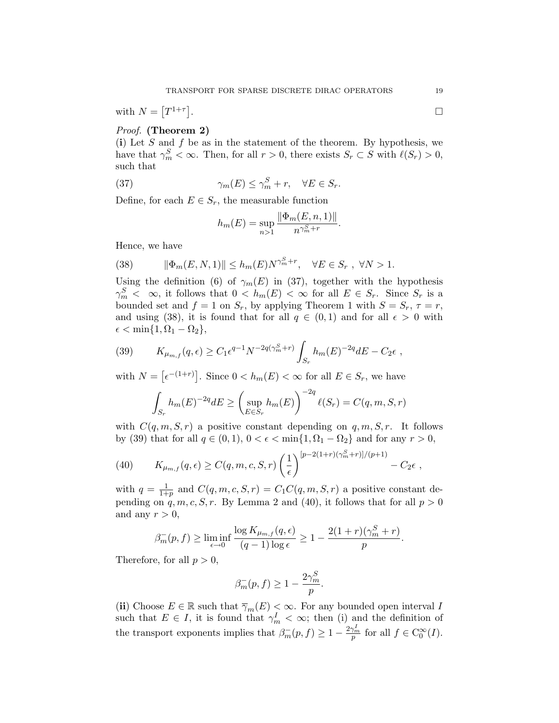with 
$$
N = [T^{1+\tau}].
$$

# Proof. (Theorem 2)

(i) Let  $S$  and  $f$  be as in the statement of the theorem. By hypothesis, we have that  $\gamma_m^S < \infty$ . Then, for all  $r > 0$ , there exists  $S_r \subset S$  with  $\ell(S_r) > 0$ , such that

(37) 
$$
\gamma_m(E) \le \gamma_m^S + r, \quad \forall E \in S_r.
$$

Define, for each  $E \in S_r$ , the measurable function

$$
h_m(E) = \sup_{n>1} \frac{\|\Phi_m(E,n,1)\|}{n^{\gamma_m^S+r}}.
$$

Hence, we have

(38) 
$$
\|\Phi_m(E,N,1)\| \le h_m(E)N^{\gamma_m^S+r}, \quad \forall E \in S_r, \ \forall N > 1.
$$

Using the definition (6) of  $\gamma_m(E)$  in (37), together with the hypothesis  $\gamma_m^S \leq \infty$ , it follows that  $0 \leq h_m(E) \leq \infty$  for all  $E \in S_r$ . Since  $S_r$  is a bounded set and  $f = 1$  on  $S_r$ , by applying Theorem 1 with  $S = S_r$ ,  $\tau = r$ , and using (38), it is found that for all  $q \in (0,1)$  and for all  $\epsilon > 0$  with  $\epsilon < \min\{1, \Omega_1 - \Omega_2\},\$ 

(39) 
$$
K_{\mu_{m,f}}(q,\epsilon) \ge C_1 \epsilon^{q-1} N^{-2q(\gamma_m^S+r)} \int_{S_r} h_m(E)^{-2q} dE - C_2 \epsilon ,
$$

with  $N = \lceil \epsilon^{-(1+r)} \rceil$ . Since  $0 < h_m(E) < \infty$  for all  $E \in S_r$ , we have

$$
\int_{S_r} h_m(E)^{-2q} dE \ge \left(\sup_{E \in S_r} h_m(E)\right)^{-2q} \ell(S_r) = C(q, m, S, r)
$$

with  $C(q, m, S, r)$  a positive constant depending on  $q, m, S, r$ . It follows by (39) that for all  $q \in (0, 1)$ ,  $0 < \epsilon < \min\{1, \Omega_1 - \Omega_2\}$  and for any  $r > 0$ ,

(40) 
$$
K_{\mu_{m,f}}(q,\epsilon) \ge C(q,m,c,S,r) \left(\frac{1}{\epsilon}\right)^{[p-2(1+r)(\gamma_m^S+r)]/(p+1)} - C_2 \epsilon,
$$

with  $q=\frac{1}{1+}$  $\frac{1}{1+p}$  and  $C(q, m, c, S, r) = C_1 C(q, m, S, r)$  a positive constant depending on  $q, m, c, S, r$ . By Lemma 2 and (40), it follows that for all  $p > 0$ and any  $r > 0$ ,

$$
\beta_m^-(p, f) \ge \liminf_{\epsilon \to 0} \frac{\log K_{\mu_{m,f}}(q, \epsilon)}{(q-1)\log \epsilon} \ge 1 - \frac{2(1+r)(\gamma_m^S + r)}{p}.
$$

Therefore, for all  $p > 0$ ,

$$
\beta_m^-(p, f) \ge 1 - \frac{2\gamma_m^S}{p}.
$$

(ii) Choose  $E \in \mathbb{R}$  such that  $\overline{\gamma}_m(E) \leq \infty$ . For any bounded open interval I such that  $E \in I$ , it is found that  $\gamma_m^I < \infty$ ; then (i) and the definition of the transport exponents implies that  $\beta_m^-(p, f) \geq 1 - \frac{2\gamma_m^I}{p}$  for all  $f \in C_0^{\infty}(I)$ .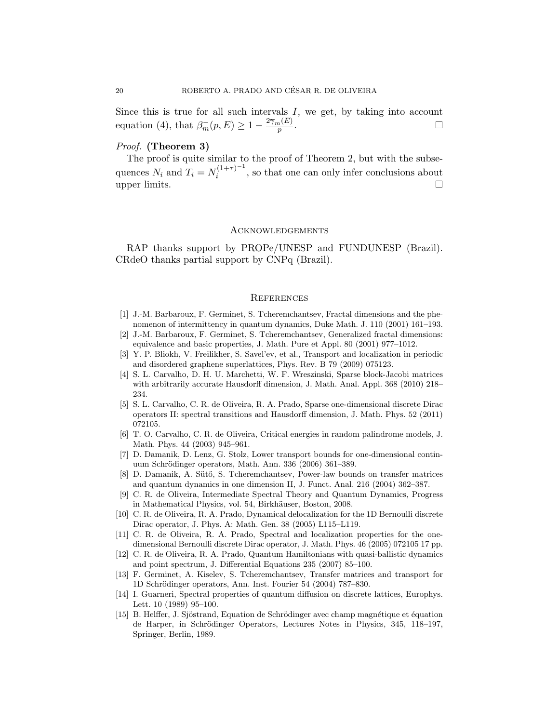Since this is true for all such intervals  $I$ , we get, by taking into account equation (4), that  $\beta_m^-(p, E) \geq 1 - \frac{2\overline{\gamma}_m(E)}{p}$ .

#### Proof. (Theorem 3)

The proof is quite similar to the proof of Theorem 2, but with the subsequences  $N_i$  and  $T_i = N_i^{(1+\tau)^{-1}}$  $i_i^{(1+\tau)}$ , so that one can only infer conclusions about upper limits.  $\square$ 

## **ACKNOWLEDGEMENTS**

RAP thanks support by PROPe/UNESP and FUNDUNESP (Brazil). CRdeO thanks partial support by CNPq (Brazil).

#### **REFERENCES**

- [1] J.-M. Barbaroux, F. Germinet, S. Tcheremchantsev, Fractal dimensions and the phenomenon of intermittency in quantum dynamics, Duke Math. J. 110 (2001) 161–193.
- [2] J.-M. Barbaroux, F. Germinet, S. Tcheremchantsev, Generalized fractal dimensions: equivalence and basic properties, J. Math. Pure et Appl. 80 (2001) 977–1012.
- [3] Y. P. Bliokh, V. Freilikher, S. Savel'ev, et al., Transport and localization in periodic and disordered graphene superlattices, Phys. Rev. B 79 (2009) 075123.
- [4] S. L. Carvalho, D. H. U. Marchetti, W. F. Wreszinski, Sparse block-Jacobi matrices with arbitrarily accurate Hausdorff dimension, J. Math. Anal. Appl. 368 (2010) 218– 234.
- [5] S. L. Carvalho, C. R. de Oliveira, R. A. Prado, Sparse one-dimensional discrete Dirac operators II: spectral transitions and Hausdorff dimension, J. Math. Phys. 52 (2011) 072105.
- [6] T. O. Carvalho, C. R. de Oliveira, Critical energies in random palindrome models, J. Math. Phys. 44 (2003) 945–961.
- [7] D. Damanik, D. Lenz, G. Stolz, Lower transport bounds for one-dimensional continuum Schrödinger operators, Math. Ann. 336 (2006) 361–389.
- [8] D. Damanik, A. Sütő, S. Tcheremchantsev, Power-law bounds on transfer matrices and quantum dynamics in one dimension II, J. Funct. Anal. 216 (2004) 362–387.
- [9] C. R. de Oliveira, Intermediate Spectral Theory and Quantum Dynamics, Progress in Mathematical Physics, vol. 54, Birkhäuser, Boston, 2008.
- [10] C. R. de Oliveira, R. A. Prado, Dynamical delocalization for the 1D Bernoulli discrete Dirac operator, J. Phys. A: Math. Gen. 38 (2005) L115–L119.
- [11] C. R. de Oliveira, R. A. Prado, Spectral and localization properties for the onedimensional Bernoulli discrete Dirac operator, J. Math. Phys. 46 (2005) 072105 17 pp.
- [12] C. R. de Oliveira, R. A. Prado, Quantum Hamiltonians with quasi-ballistic dynamics and point spectrum, J. Differential Equations 235 (2007) 85–100.
- [13] F. Germinet, A. Kiselev, S. Tcheremchantsev, Transfer matrices and transport for 1D Schrödinger operators, Ann. Inst. Fourier 54 (2004) 787–830.
- [14] I. Guarneri, Spectral properties of quantum diffusion on discrete lattices, Europhys. Lett. 10 (1989) 95–100.
- [15] B. Helffer, J. Sjöstrand, Equation de Schrödinger avec champ magnétique et équation de Harper, in Schrödinger Operators, Lectures Notes in Physics, 345, 118–197, Springer, Berlin, 1989.